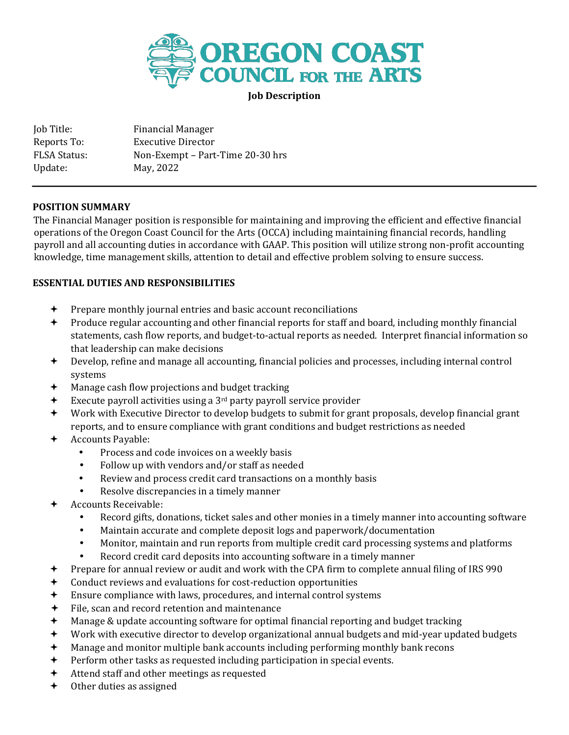

**Job Description**

Job Title: Financial Manager Reports To: Executive Director FLSA Status: Non-Exempt – Part-Time 20-30 hrs Update: May, 2022

#### **POSITION SUMMARY**

The Financial Manager position is responsible for maintaining and improving the efficient and effective financial operations of the Oregon Coast Council for the Arts (OCCA) including maintaining financial records, handling payroll and all accounting duties in accordance with GAAP. This position will utilize strong non-profit accounting knowledge, time management skills, attention to detail and effective problem solving to ensure success.

### **ESSENTIAL DUTIES AND RESPONSIBILITIES**

- $\rightarrow$  Prepare monthly journal entries and basic account reconciliations
- $\rightarrow$  Produce regular accounting and other financial reports for staff and board, including monthly financial statements, cash flow reports, and budget-to-actual reports as needed. Interpret financial information so that leadership can make decisions
- Develop, refine and manage all accounting, financial policies and processes, including internal control systems
- Manage cash flow projections and budget tracking
- Execute payroll activities using a 3rd party payroll service provider
- Work with Executive Director to develop budgets to submit for grant proposals, develop financial grant reports, and to ensure compliance with grant conditions and budget restrictions as needed
- + Accounts Payable:
	- Process and code invoices on a weekly basis
	- Follow up with vendors and/or staff as needed
	- Review and process credit card transactions on a monthly basis
	- Resolve discrepancies in a timely manner
- Accounts Receivable:
	- Record gifts, donations, ticket sales and other monies in a timely manner into accounting software
	- Maintain accurate and complete deposit logs and paperwork/documentation
	- Monitor, maintain and run reports from multiple credit card processing systems and platforms
	- Record credit card deposits into accounting software in a timely manner
- Prepare for annual review or audit and work with the CPA firm to complete annual filing of IRS 990
- Conduct reviews and evaluations for cost-reduction opportunities
- Ensure compliance with laws, procedures, and internal control systems
- File, scan and record retention and maintenance
- Manage & update accounting software for optimal financial reporting and budget tracking
- Work with executive director to develop organizational annual budgets and mid-year updated budgets
- Manage and monitor multiple bank accounts including performing monthly bank recons
- $\div$  Perform other tasks as requested including participation in special events.
- Attend staff and other meetings as requested
- Other duties as assigned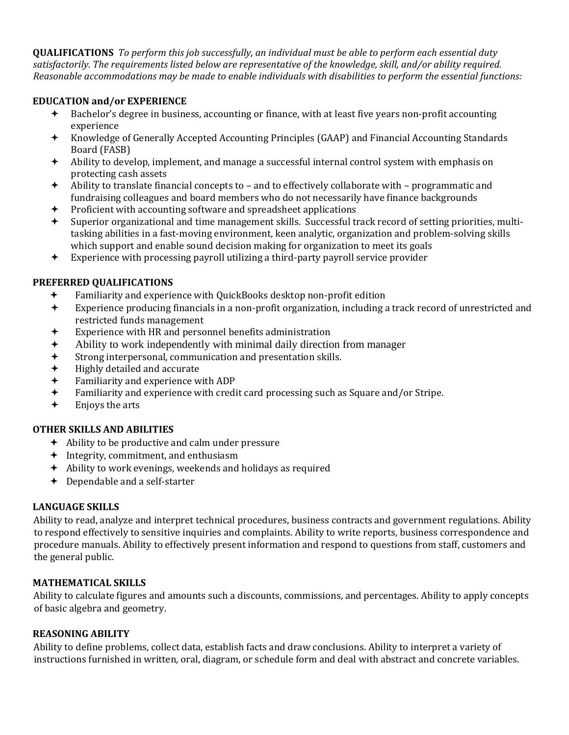**QUALIFICATIONS** *To perform this job successfully, an individual must be able to perform each essential duty satisfactorily. The requirements listed below are representative of the knowledge, skill, and/or ability required. Reasonable accommodations may be made to enable individuals with disabilities to perform the essential functions:* 

### **EDUCATION and/or EXPERIENCE**

- Bachelor's degree in business, accounting or finance, with at least five years non-profit accounting experience
- Knowledge of Generally Accepted Accounting Principles (GAAP) and Financial Accounting Standards Board (FASB)
- Ability to develop, implement, and manage a successful internal control system with emphasis on protecting cash assets
- Ability to translate financial concepts to and to effectively collaborate with programmatic and fundraising colleagues and board members who do not necessarily have finance backgrounds
- Proficient with accounting software and spreadsheet applications
- $\triangleq$  Superior organizational and time management skills. Successful track record of setting priorities, multitasking abilities in a fast-moving environment, keen analytic, organization and problem-solving skills which support and enable sound decision making for organization to meet its goals
- Experience with processing payroll utilizing a third-party payroll service provider

# **PREFERRED QUALIFICATIONS**

- Familiarity and experience with QuickBooks desktop non-profit edition
- Experience producing financials in a non-profit organization, including a track record of unrestricted and restricted funds management
- Experience with HR and personnel benefits administration
- Ability to work independently with minimal daily direction from manager
- Strong interpersonal, communication and presentation skills.
- Highly detailed and accurate
- Familiarity and experience with ADP
- Familiarity and experience with credit card processing such as Square and/or Stripe.
- Enjoys the arts

# **OTHER SKILLS AND ABILITIES**

- $\leftrightarrow$  Ability to be productive and calm under pressure
- $\triangleq$  Integrity, commitment, and enthusiasm
- Ability to work evenings, weekends and holidays as required
- **←** Dependable and a self-starter

# **LANGUAGE SKILLS**

Ability to read, analyze and interpret technical procedures, business contracts and government regulations. Ability to respond effectively to sensitive inquiries and complaints. Ability to write reports, business correspondence and procedure manuals. Ability to effectively present information and respond to questions from staff, customers and the general public.

### **MATHEMATICAL SKILLS**

Ability to calculate figures and amounts such a discounts, commissions, and percentages. Ability to apply concepts of basic algebra and geometry.

### **REASONING ABILITY**

Ability to define problems, collect data, establish facts and draw conclusions. Ability to interpret a variety of instructions furnished in written, oral, diagram, or schedule form and deal with abstract and concrete variables.